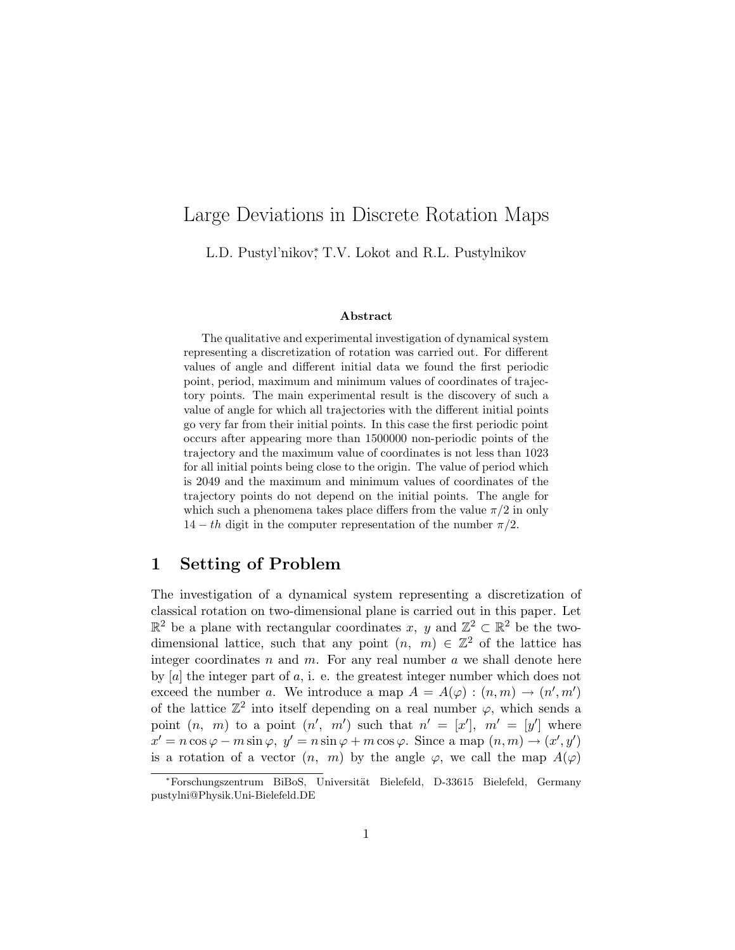# Large Deviations in Discrete Rotation Maps

L.D. Pustyl'nikov<sup>\*</sup>, T.V. Lokot and R.L. Pustylnikov

#### Abstract

The qualitative and experimental investigation of dynamical system representing a discretization of rotation was carried out. For different values of angle and different initial data we found the first periodic point, period, maximum and minimum values of coordinates of trajectory points. The main experimental result is the discovery of such a value of angle for which all trajectories with the different initial points go very far from their initial points. In this case the first periodic point occurs after appearing more than 1500000 non-periodic points of the trajectory and the maximum value of coordinates is not less than 1023 for all initial points being close to the origin. The value of period which is 2049 and the maximum and minimum values of coordinates of the trajectory points do not depend on the initial points. The angle for which such a phenomena takes place differs from the value  $\pi/2$  in only  $14 - th$  digit in the computer representation of the number  $\pi/2$ .

## 1 Setting of Problem

The investigation of a dynamical system representing a discretization of classical rotation on two-dimensional plane is carried out in this paper. Let  $\mathbb{R}^2$  be a plane with rectangular coordinates x, y and  $\mathbb{Z}^2 \subset \mathbb{R}^2$  be the twodimensional lattice, such that any point  $(n, m) \in \mathbb{Z}^2$  of the lattice has integer coordinates  $n$  and  $m$ . For any real number  $a$  we shall denote here by  $[a]$  the integer part of a, i. e. the greatest integer number which does not exceed the number a. We introduce a map  $A = A(\varphi) : (n, m) \to (n', m')$ of the lattice  $\mathbb{Z}^2$  into itself depending on a real number  $\varphi$ , which sends a point  $(n, m)$  to a point  $(n', m')$  such that  $n' = [x']$ ,  $m' = [y']$  where  $x' = n \cos \varphi - m \sin \varphi, \ y' = n \sin \varphi + m \cos \varphi.$  Since a map  $(n, m) \to (x', y')$ is a rotation of a vector  $(n, m)$  by the angle  $\varphi$ , we call the map  $A(\varphi)$ 

<sup>∗</sup>Forschungszentrum BiBoS, Universit¨at Bielefeld, D-33615 Bielefeld, Germany pustylni@Physik.Uni-Bielefeld.DE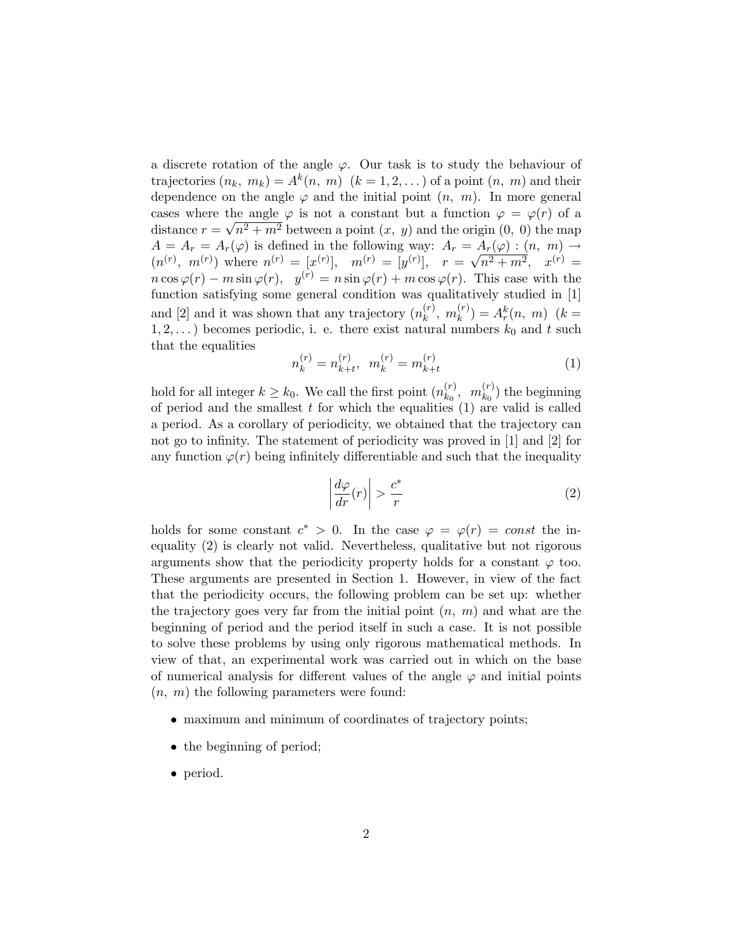a discrete rotation of the angle  $\varphi$ . Our task is to study the behaviour of trajectories  $(n_k, m_k) = A^k(n, m)$   $(k = 1, 2, ...)$  of a point  $(n, m)$  and their dependence on the angle  $\varphi$  and the initial point  $(n, m)$ . In more general cases where the angle  $\varphi$  is not a constant but a function  $\varphi = \varphi(r)$  of a distance  $r = \sqrt{n^2 + m^2}$  between a point  $(x, y)$  and the origin  $(0, 0)$  the map  $A = A_r = A_r(\varphi)$  is defined in the following way:  $A_r = A_r(\varphi) : (n, m) \to$  $(n^{(r)}, m^{(r)})$  where  $n^{(r)} = [x^{(r)}], m^{(r)} = [y^{(r)}], r =$  $\frac{A_r(\varphi) : (n, m)}{\sqrt{n^2 + m^2}}$ ,  $x^{(r)} =$  $n \cos \varphi(r) - m \sin \varphi(r)$ ,  $y^{(r)} = n \sin \varphi(r) + m \cos \varphi(r)$ . This case with the function satisfying some general condition was qualitatively studied in [1] and [2] and it was shown that any trajectory  $(n_k^{(r)})$  $\binom{(r)}{k}, m_k^{(r)}$  $\binom{r}{k} = A_r^k(n, m)$  (k =  $1, 2, \ldots$ ) becomes periodic, i. e. there exist natural numbers  $k_0$  and t such that the equalities

$$
n_k^{(r)} = n_{k+t}^{(r)}, \quad m_k^{(r)} = m_{k+t}^{(r)} \tag{1}
$$

hold for all integer  $k \geq k_0$ . We call the first point  $(n_{k_0}^{(r)})$  $\binom{(r)}{k_0},\enspace m^{(r)}_{k_0}$  $\binom{r}{k_0}$  the beginning of period and the smallest  $t$  for which the equalities  $(1)$  are valid is called a period. As a corollary of periodicity, we obtained that the trajectory can not go to infinity. The statement of periodicity was proved in [1] and [2] for any function  $\varphi(r)$  being infinitely differentiable and such that the inequality

$$
\left| \frac{d\varphi}{dr}(r) \right| > \frac{c^*}{r} \tag{2}
$$

holds for some constant  $c^* > 0$ . In the case  $\varphi = \varphi(r) = const$  the inequality (2) is clearly not valid. Nevertheless, qualitative but not rigorous arguments show that the periodicity property holds for a constant  $\varphi$  too. These arguments are presented in Section 1. However, in view of the fact that the periodicity occurs, the following problem can be set up: whether the trajectory goes very far from the initial point  $(n, m)$  and what are the beginning of period and the period itself in such a case. It is not possible to solve these problems by using only rigorous mathematical methods. In view of that, an experimental work was carried out in which on the base of numerical analysis for different values of the angle  $\varphi$  and initial points  $(n, m)$  the following parameters were found:

- maximum and minimum of coordinates of trajectory points;
- the beginning of period;
- period.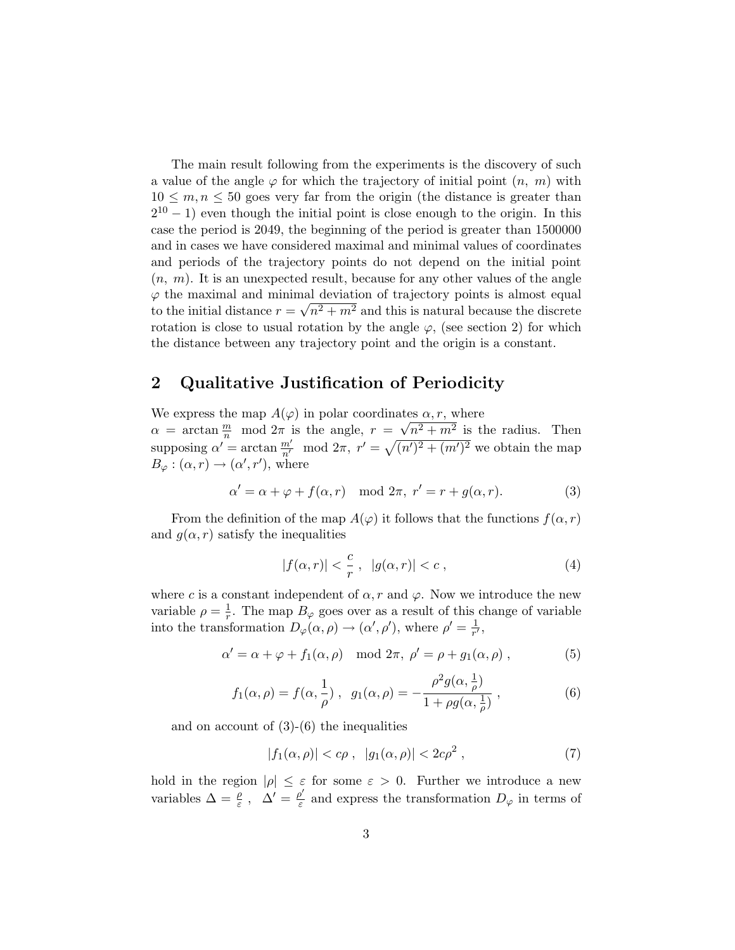The main result following from the experiments is the discovery of such a value of the angle  $\varphi$  for which the trajectory of initial point  $(n, m)$  with  $10 \leq m, n \leq 50$  goes very far from the origin (the distance is greater than  $2^{10} - 1$ ) even though the initial point is close enough to the origin. In this case the period is 2049, the beginning of the period is greater than 1500000 and in cases we have considered maximal and minimal values of coordinates and periods of the trajectory points do not depend on the initial point  $(n, m)$ . It is an unexpected result, because for any other values of the angle  $\varphi$  the maximal and minimal deviation of trajectory points is almost equal to the initial distance  $r = \sqrt{n^2 + m^2}$  and this is natural because the discrete rotation is close to usual rotation by the angle  $\varphi$ , (see section 2) for which the distance between any trajectory point and the origin is a constant.

## 2 Qualitative Justification of Periodicity

We express the map  $A(\varphi)$  in polar coordinates  $\alpha, r$ , where √

 $\alpha = \arctan \frac{m}{n} \mod 2\pi$  is the angle,  $r =$  $n^2 + m^2$  is the radius. Then supposing  $\alpha' = \arctan \frac{m'}{n'} \mod 2\pi$ ,  $r' = \sqrt{(n')^2 + (m')^2}$  we obtain the map  $B_{\varphi} : (\alpha, r) \to (\alpha', r'),$  where

$$
\alpha' = \alpha + \varphi + f(\alpha, r) \mod 2\pi, \ r' = r + g(\alpha, r). \tag{3}
$$

From the definition of the map  $A(\varphi)$  it follows that the functions  $f(\alpha, r)$ and  $g(\alpha, r)$  satisfy the inequalities

$$
|f(\alpha, r)| < \frac{c}{r}, \quad |g(\alpha, r)| < c \tag{4}
$$

where c is a constant independent of  $\alpha$ , r and  $\varphi$ . Now we introduce the new variable  $\rho = \frac{1}{r}$  $\frac{1}{r}$ . The map  $B_{\varphi}$  goes over as a result of this change of variable into the transformation  $D_{\varphi}(\alpha,\rho) \to (\alpha',\rho')$ , where  $\rho' = \frac{1}{r'}$  $\frac{1}{r'}$ ,

$$
\alpha' = \alpha + \varphi + f_1(\alpha, \rho) \mod 2\pi, \ \rho' = \rho + g_1(\alpha, \rho) \ , \tag{5}
$$

$$
f_1(\alpha, \rho) = f(\alpha, \frac{1}{\rho}), \quad g_1(\alpha, \rho) = -\frac{\rho^2 g(\alpha, \frac{1}{\rho})}{1 + \rho g(\alpha, \frac{1}{\rho})},
$$
 (6)

and on account of (3)-(6) the inequalities

$$
|f_1(\alpha,\rho)| < c\rho \;, \ |g_1(\alpha,\rho)| < 2c\rho^2 \;, \tag{7}
$$

hold in the region  $|\rho| \leq \varepsilon$  for some  $\varepsilon > 0$ . Further we introduce a new variables  $\Delta = \frac{\rho}{\varepsilon}$ ,  $\Delta' = \frac{\rho'}{\varepsilon}$  $\frac{\partial}{\partial \varepsilon}$  and express the transformation  $D_{\varphi}$  in terms of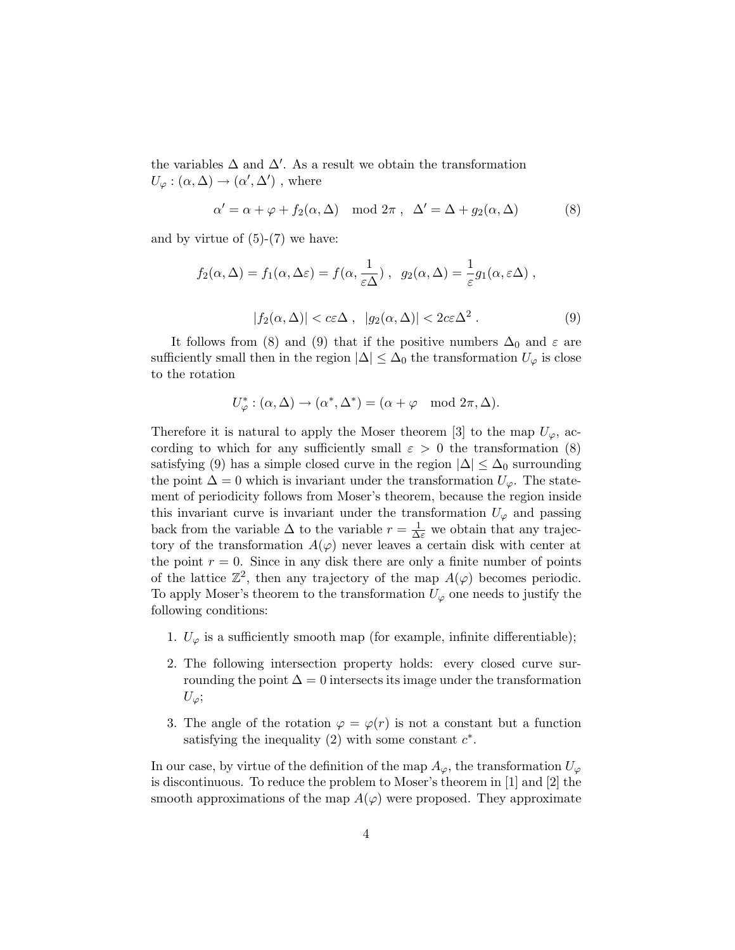the variables  $\Delta$  and  $\Delta'$ . As a result we obtain the transformation  $U_{\varphi} : (\alpha, \Delta) \to (\alpha', \Delta')$ , where

$$
\alpha' = \alpha + \varphi + f_2(\alpha, \Delta) \mod 2\pi , \quad \Delta' = \Delta + g_2(\alpha, \Delta) \tag{8}
$$

and by virtue of  $(5)-(7)$  we have:

$$
f_2(\alpha, \Delta) = f_1(\alpha, \Delta \varepsilon) = f(\alpha, \frac{1}{\varepsilon \Delta}), \quad g_2(\alpha, \Delta) = \frac{1}{\varepsilon} g_1(\alpha, \varepsilon \Delta),
$$
  

$$
|f_2(\alpha, \Delta)| < c\varepsilon \Delta, \quad |g_2(\alpha, \Delta)| < 2c\varepsilon \Delta^2.
$$
 (9)

It follows from (8) and (9) that if the positive numbers  $\Delta_0$  and  $\varepsilon$  are sufficiently small then in the region  $|\Delta| \leq \Delta_0$  the transformation  $U_{\varphi}$  is close to the rotation

$$
U_{\varphi}^* : (\alpha, \Delta) \to (\alpha^*, \Delta^*) = (\alpha + \varphi \mod 2\pi, \Delta).
$$

Therefore it is natural to apply the Moser theorem [3] to the map  $U_{\varphi}$ , according to which for any sufficiently small  $\varepsilon > 0$  the transformation (8) satisfying (9) has a simple closed curve in the region  $|\Delta| \leq \Delta_0$  surrounding the point  $\Delta = 0$  which is invariant under the transformation  $U_{\varphi}$ . The statement of periodicity follows from Moser's theorem, because the region inside this invariant curve is invariant under the transformation  $U_{\varphi}$  and passing back from the variable  $\Delta$  to the variable  $r = \frac{1}{\Delta \varepsilon}$  we obtain that any trajectory of the transformation  $A(\varphi)$  never leaves a certain disk with center at the point  $r = 0$ . Since in any disk there are only a finite number of points of the lattice  $\mathbb{Z}^2$ , then any trajectory of the map  $A(\varphi)$  becomes periodic. To apply Moser's theorem to the transformation  $U_{\varphi}$  one needs to justify the following conditions:

- 1.  $U_{\varphi}$  is a sufficiently smooth map (for example, infinite differentiable);
- 2. The following intersection property holds: every closed curve surrounding the point  $\Delta = 0$  intersects its image under the transformation  $U_{\varphi}$ ;
- 3. The angle of the rotation  $\varphi = \varphi(r)$  is not a constant but a function satisfying the inequality  $(2)$  with some constant  $c^*$ .

In our case, by virtue of the definition of the map  $A_{\varphi}$ , the transformation  $U_{\varphi}$ is discontinuous. To reduce the problem to Moser's theorem in [1] and [2] the smooth approximations of the map  $A(\varphi)$  were proposed. They approximate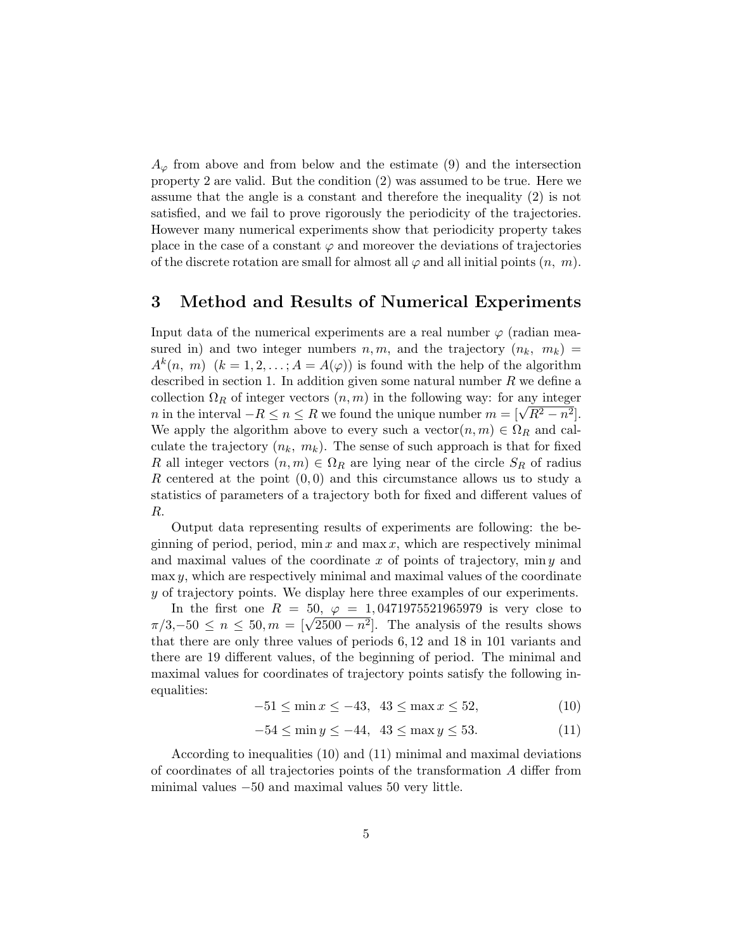$A_{\varphi}$  from above and from below and the estimate (9) and the intersection property 2 are valid. But the condition (2) was assumed to be true. Here we assume that the angle is a constant and therefore the inequality (2) is not satisfied, and we fail to prove rigorously the periodicity of the trajectories. However many numerical experiments show that periodicity property takes place in the case of a constant  $\varphi$  and moreover the deviations of trajectories of the discrete rotation are small for almost all  $\varphi$  and all initial points  $(n, m)$ .

## 3 Method and Results of Numerical Experiments

Input data of the numerical experiments are a real number  $\varphi$  (radian measured in) and two integer numbers  $n, m$ , and the trajectory  $(n_k, m_k)$  $A^k(n, m)$   $(k = 1, 2, \ldots; A = A(\varphi))$  is found with the help of the algorithm described in section 1. In addition given some natural number  $R$  we define a collection  $\Omega_R$  of integer vectors  $(n, m)$  in the following way: for any integer conection  $\Omega_R$  or integer vectors  $(n, m)$  in the intowing way: for any integer  $n$  in the interval  $-R \le n \le R$  we found the unique number  $m = [\sqrt{R^2 - n^2}]$ . We apply the algorithm above to every such a vector $(n, m) \in \Omega_R$  and calculate the trajectory  $(n_k, m_k)$ . The sense of such approach is that for fixed R all integer vectors  $(n, m) \in \Omega_R$  are lying near of the circle  $S_R$  of radius R centered at the point  $(0,0)$  and this circumstance allows us to study a statistics of parameters of a trajectory both for fixed and different values of R.

Output data representing results of experiments are following: the beginning of period, period, min x and max x, which are respectively minimal and maximal values of the coordinate  $x$  of points of trajectory, min  $y$  and  $\max y$ , which are respectively minimal and maximal values of the coordinate y of trajectory points. We display here three examples of our experiments.

In the first one  $R = 50, \varphi = 1,0471975521965979$  is very close to m the first one  $κ = 30$ ,  $φ = 1,0411973521903979$  is very close to  $π/3,−50 ≤ n ≤ 50, m = \lfloor \sqrt{2500 - n^2} \rfloor$ . The analysis of the results shows that there are only three values of periods 6, 12 and 18 in 101 variants and there are 19 different values, of the beginning of period. The minimal and maximal values for coordinates of trajectory points satisfy the following inequalities:

$$
-51 \le \min x \le -43, \ \ 43 \le \max x \le 52,\tag{10}
$$

$$
-54 \le \min y \le -44, \ \ 43 \le \max y \le 53. \tag{11}
$$

According to inequalities (10) and (11) minimal and maximal deviations of coordinates of all trajectories points of the transformation A differ from minimal values −50 and maximal values 50 very little.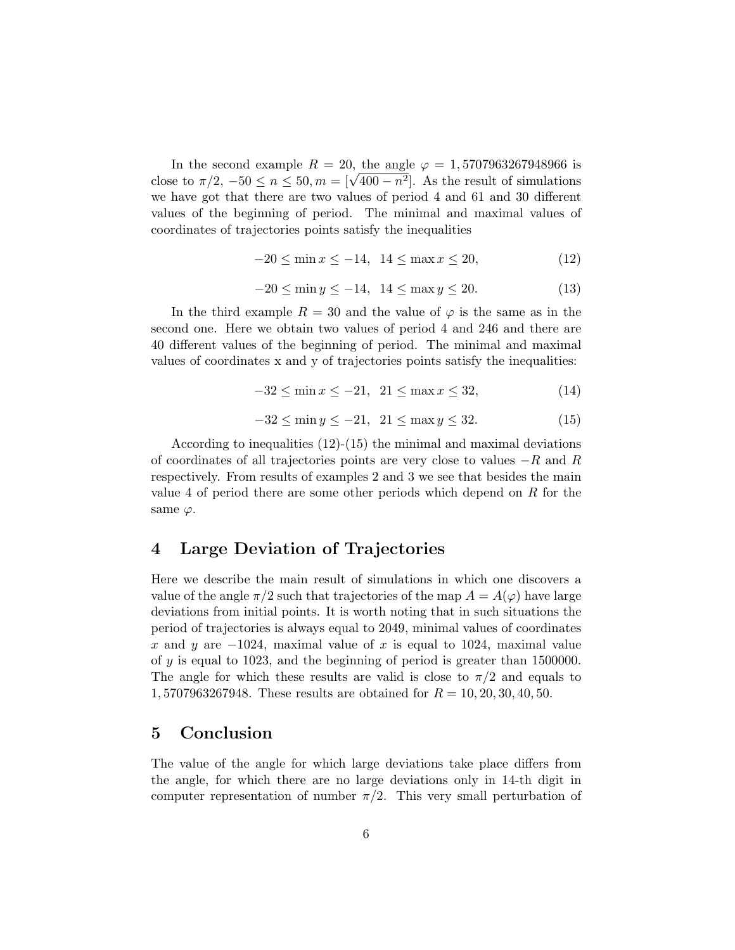In the second example  $R = 20$ , the angle  $\varphi = 1,5707963267948966$  is in the second example  $K = 20$ , the angle  $\varphi = 1,5007963267948966$  is<br>close to  $\pi/2$ ,  $-50 \le n \le 50$ ,  $m = [\sqrt{400 - n^2}]$ . As the result of simulations we have got that there are two values of period 4 and 61 and 30 different values of the beginning of period. The minimal and maximal values of coordinates of trajectories points satisfy the inequalities

$$
-20 \le \min x \le -14, \ \ 14 \le \max x \le 20,\tag{12}
$$

$$
-20 \le \min y \le -14, \ \ 14 \le \max y \le 20. \tag{13}
$$

In the third example  $R = 30$  and the value of  $\varphi$  is the same as in the second one. Here we obtain two values of period 4 and 246 and there are 40 different values of the beginning of period. The minimal and maximal values of coordinates x and y of trajectories points satisfy the inequalities:

$$
-32 \le \min x \le -21, \ \ 21 \le \max x \le 32,\tag{14}
$$

$$
-32 \le \min y \le -21, \ \ 21 \le \max y \le 32. \tag{15}
$$

According to inequalities (12)-(15) the minimal and maximal deviations of coordinates of all trajectories points are very close to values  $-R$  and R respectively. From results of examples 2 and 3 we see that besides the main value 4 of period there are some other periods which depend on R for the same  $\varphi$ .

## 4 Large Deviation of Trajectories

Here we describe the main result of simulations in which one discovers a value of the angle  $\pi/2$  such that trajectories of the map  $A = A(\varphi)$  have large deviations from initial points. It is worth noting that in such situations the period of trajectories is always equal to 2049, minimal values of coordinates x and y are  $-1024$ , maximal value of x is equal to 1024, maximal value of y is equal to 1023, and the beginning of period is greater than 1500000. The angle for which these results are valid is close to  $\pi/2$  and equals to 1, 5707963267948. These results are obtained for  $R = 10, 20, 30, 40, 50$ .

#### 5 Conclusion

The value of the angle for which large deviations take place differs from the angle, for which there are no large deviations only in 14-th digit in computer representation of number  $\pi/2$ . This very small perturbation of